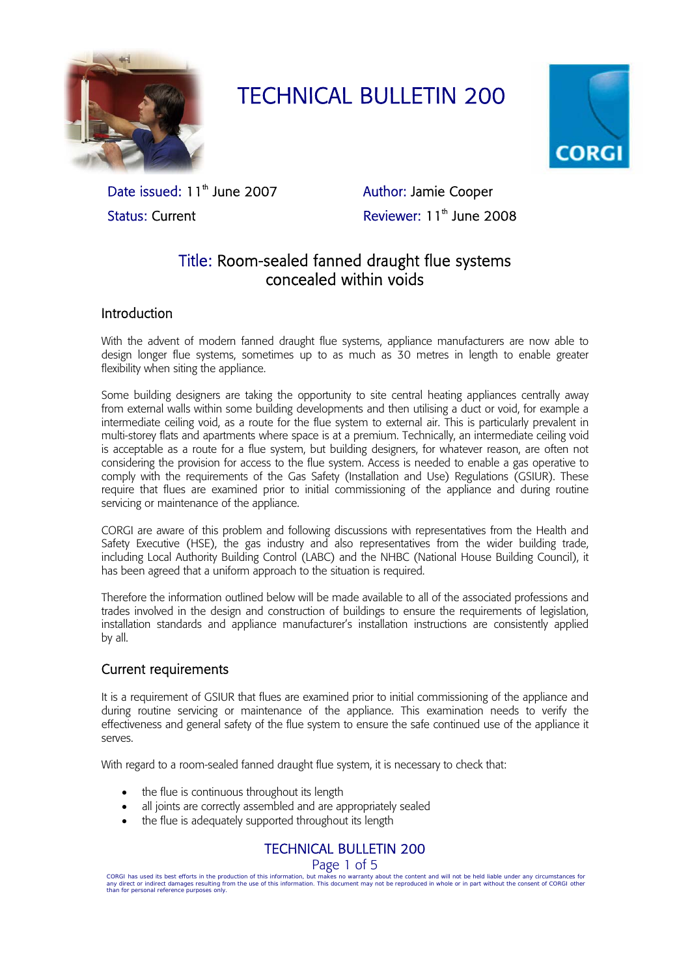

# TECHNICAL BULLETIN 200



Date issued: 11<sup>th</sup> June 2007 Author: Jamie Cooper Status: Current **Reviewer: 11<sup>th</sup> June 2008** 

## Title: Room-sealed fanned draught flue systems concealed within voids

## Introduction

With the advent of modern fanned draught flue systems, appliance manufacturers are now able to design longer flue systems, sometimes up to as much as 30 metres in length to enable greater flexibility when siting the appliance.

Some building designers are taking the opportunity to site central heating appliances centrally away from external walls within some building developments and then utilising a duct or void, for example a intermediate ceiling void, as a route for the flue system to external air. This is particularly prevalent in multi-storey flats and apartments where space is at a premium. Technically, an intermediate ceiling void is acceptable as a route for a flue system, but building designers, for whatever reason, are often not considering the provision for access to the flue system. Access is needed to enable a gas operative to comply with the requirements of the Gas Safety (Installation and Use) Regulations (GSIUR). These require that flues are examined prior to initial commissioning of the appliance and during routine servicing or maintenance of the appliance.

CORGI are aware of this problem and following discussions with representatives from the Health and Safety Executive (HSE), the gas industry and also representatives from the wider building trade, including Local Authority Building Control (LABC) and the NHBC (National House Building Council), it has been agreed that a uniform approach to the situation is required.

Therefore the information outlined below will be made available to all of the associated professions and trades involved in the design and construction of buildings to ensure the requirements of legislation, installation standards and appliance manufacturer's installation instructions are consistently applied by all.

## Current requirements

It is a requirement of GSIUR that flues are examined prior to initial commissioning of the appliance and during routine servicing or maintenance of the appliance. This examination needs to verify the effectiveness and general safety of the flue system to ensure the safe continued use of the appliance it serves.

With regard to a room-sealed fanned draught flue system, it is necessary to check that:

- the flue is continuous throughout its length
- all joints are correctly assembled and are appropriately sealed
- the flue is adequately supported throughout its length

TECHNICAL BULLETIN 200

Page 1 of 5

CORGI has used its best efforts in the production of this information, but makes no warranty about the content and will not be held liable under any circumstances for<br>any direct or indirect damages resulting from the use o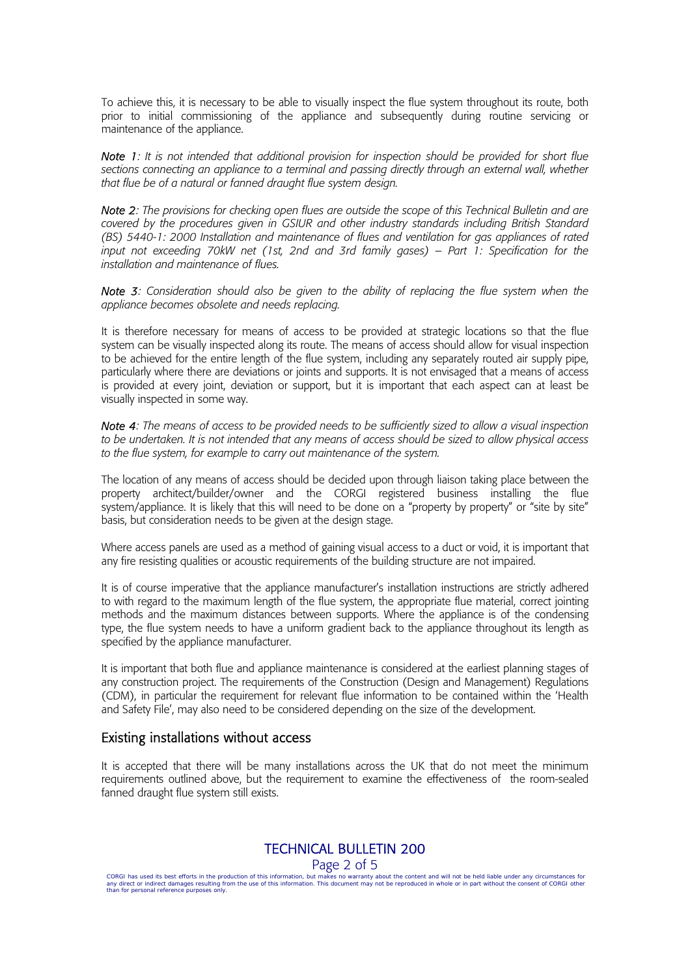To achieve this, it is necessary to be able to visually inspect the flue system throughout its route, both prior to initial commissioning of the appliance and subsequently during routine servicing or maintenance of the appliance.

*Note 1: It is not intended that additional provision for inspection should be provided for short flue sections connecting an appliance to a terminal and passing directly through an external wall, whether that flue be of a natural or fanned draught flue system design.* 

*Note 2: The provisions for checking open flues are outside the scope of this Technical Bulletin and are covered by the procedures given in GSIUR and other industry standards including British Standard (BS) 5440-1: 2000 Installation and maintenance of flues and ventilation for gas appliances of rated input not exceeding 70kW net (1st, 2nd and 3rd family gases) – Part 1: Specification for the installation and maintenance of flues.* 

*Note 3: Consideration should also be given to the ability of replacing the flue system when the appliance becomes obsolete and needs replacing.* 

It is therefore necessary for means of access to be provided at strategic locations so that the flue system can be visually inspected along its route. The means of access should allow for visual inspection to be achieved for the entire length of the flue system, including any separately routed air supply pipe, particularly where there are deviations or joints and supports. It is not envisaged that a means of access is provided at every joint, deviation or support, but it is important that each aspect can at least be visually inspected in some way.

*Note 4: The means of access to be provided needs to be sufficiently sized to allow a visual inspection to be undertaken. It is not intended that any means of access should be sized to allow physical access to the flue system, for example to carry out maintenance of the system.* 

The location of any means of access should be decided upon through liaison taking place between the property architect/builder/owner and the CORGI registered business installing the flue system/appliance. It is likely that this will need to be done on a "property by property" or "site by site" basis, but consideration needs to be given at the design stage.

Where access panels are used as a method of gaining visual access to a duct or void, it is important that any fire resisting qualities or acoustic requirements of the building structure are not impaired.

It is of course imperative that the appliance manufacturer's installation instructions are strictly adhered to with regard to the maximum length of the flue system, the appropriate flue material, correct jointing methods and the maximum distances between supports. Where the appliance is of the condensing type, the flue system needs to have a uniform gradient back to the appliance throughout its length as specified by the appliance manufacturer.

It is important that both flue and appliance maintenance is considered at the earliest planning stages of any construction project. The requirements of the Construction (Design and Management) Regulations (CDM), in particular the requirement for relevant flue information to be contained within the 'Health and Safety File', may also need to be considered depending on the size of the development.

## Existing installations without access

It is accepted that there will be many installations across the UK that do not meet the minimum requirements outlined above, but the requirement to examine the effectiveness of the room-sealed fanned draught flue system still exists.

TECHNICAL BULLETIN 200

Page 2 of 5

CORGI has used its best efforts in the production of this information, but makes no warranty about the content and will not be held liable under any circumstances for<br>any direct or indirect damages resulting from the use o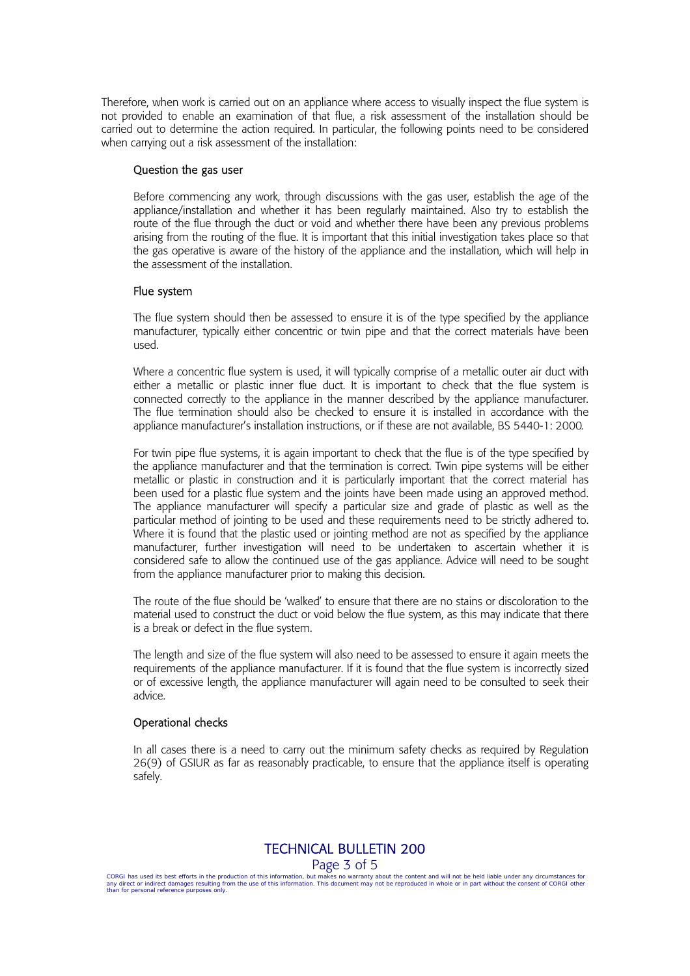Therefore, when work is carried out on an appliance where access to visually inspect the flue system is not provided to enable an examination of that flue, a risk assessment of the installation should be carried out to determine the action required. In particular, the following points need to be considered when carrying out a risk assessment of the installation:

#### Question the gas user

Before commencing any work, through discussions with the gas user, establish the age of the appliance/installation and whether it has been regularly maintained. Also try to establish the route of the flue through the duct or void and whether there have been any previous problems arising from the routing of the flue. It is important that this initial investigation takes place so that the gas operative is aware of the history of the appliance and the installation, which will help in the assessment of the installation.

#### Flue system

The flue system should then be assessed to ensure it is of the type specified by the appliance manufacturer, typically either concentric or twin pipe and that the correct materials have been used.

Where a concentric flue system is used, it will typically comprise of a metallic outer air duct with either a metallic or plastic inner flue duct. It is important to check that the flue system is connected correctly to the appliance in the manner described by the appliance manufacturer. The flue termination should also be checked to ensure it is installed in accordance with the appliance manufacturer's installation instructions, or if these are not available, BS 5440-1: 2000*.*

For twin pipe flue systems, it is again important to check that the flue is of the type specified by the appliance manufacturer and that the termination is correct. Twin pipe systems will be either metallic or plastic in construction and it is particularly important that the correct material has been used for a plastic flue system and the joints have been made using an approved method. The appliance manufacturer will specify a particular size and grade of plastic as well as the particular method of jointing to be used and these requirements need to be strictly adhered to. Where it is found that the plastic used or jointing method are not as specified by the appliance manufacturer, further investigation will need to be undertaken to ascertain whether it is considered safe to allow the continued use of the gas appliance. Advice will need to be sought from the appliance manufacturer prior to making this decision.

The route of the flue should be 'walked' to ensure that there are no stains or discoloration to the material used to construct the duct or void below the flue system, as this may indicate that there is a break or defect in the flue system.

The length and size of the flue system will also need to be assessed to ensure it again meets the requirements of the appliance manufacturer. If it is found that the flue system is incorrectly sized or of excessive length, the appliance manufacturer will again need to be consulted to seek their advice.

#### Operational checks

In all cases there is a need to carry out the minimum safety checks as required by Regulation 26(9) of GSIUR as far as reasonably practicable, to ensure that the appliance itself is operating safely.

TECHNICAL BULLETIN 200

Page 3 of 5

CORGI has used its best efforts in the production of this information, but makes no warranty about the content and will not be held liable under any circumstances for<br>any direct or indirect damages resulting from the use o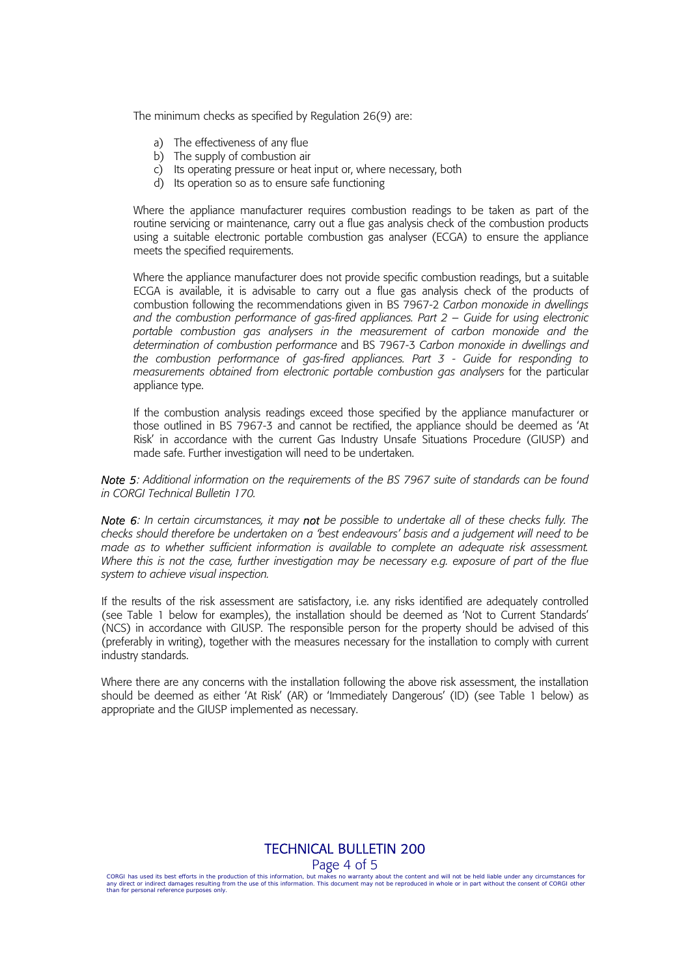The minimum checks as specified by Regulation 26(9) are:

- a) The effectiveness of any flue
- b) The supply of combustion air
- c) Its operating pressure or heat input or, where necessary, both
- d) Its operation so as to ensure safe functioning

Where the appliance manufacturer requires combustion readings to be taken as part of the routine servicing or maintenance, carry out a flue gas analysis check of the combustion products using a suitable electronic portable combustion gas analyser (ECGA) to ensure the appliance meets the specified requirements.

Where the appliance manufacturer does not provide specific combustion readings, but a suitable ECGA is available, it is advisable to carry out a flue gas analysis check of the products of combustion following the recommendations given in BS 7967-2 *Carbon monoxide in dwellings and the combustion performance of gas-fired appliances. Part 2 – Guide for using electronic portable combustion gas analysers in the measurement of carbon monoxide and the determination of combustion performance* and BS 7967-3 *Carbon monoxide in dwellings and the combustion performance of gas-fired appliances. Part 3 - Guide for responding to measurements obtained from electronic portable combustion gas analysers* for the particular appliance type.

If the combustion analysis readings exceed those specified by the appliance manufacturer or those outlined in BS 7967-3 and cannot be rectified, the appliance should be deemed as 'At Risk' in accordance with the current Gas Industry Unsafe Situations Procedure (GIUSP) and made safe. Further investigation will need to be undertaken.

*Note 5: Additional information on the requirements of the BS 7967 suite of standards can be found in CORGI Technical Bulletin 170.* 

*Note 6: In certain circumstances, it may not be possible to undertake all of these checks fully. The checks should therefore be undertaken on a 'best endeavours' basis and a judgement will need to be made as to whether sufficient information is available to complete an adequate risk assessment. Where this is not the case, further investigation may be necessary e.g. exposure of part of the flue system to achieve visual inspection.*

If the results of the risk assessment are satisfactory, i.e. any risks identified are adequately controlled (see Table 1 below for examples), the installation should be deemed as 'Not to Current Standards' (NCS) in accordance with GIUSP. The responsible person for the property should be advised of this (preferably in writing), together with the measures necessary for the installation to comply with current industry standards.

Where there are any concerns with the installation following the above risk assessment, the installation should be deemed as either 'At Risk' (AR) or 'Immediately Dangerous' (ID) (see Table 1 below) as appropriate and the GIUSP implemented as necessary.

## TECHNICAL BULLETIN 200

#### Page 4 of 5

CORGI has used its best efforts in the production of this information, but makes no warranty about the content and will not be held liable under any circumstances for<br>any direct or indirect damages resulting from the use o